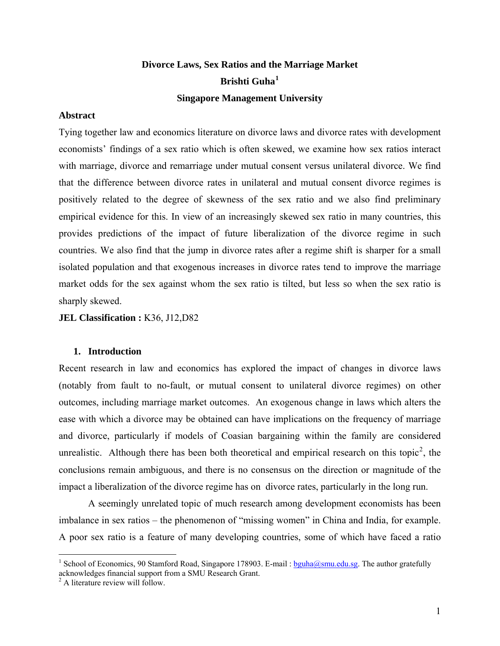# **Divorce Laws, Sex Ratios and the Marriage Market Brishti Guha[1](#page-0-0) Singapore Management University**

## **Abstract**

Tying together law and economics literature on divorce laws and divorce rates with development economists' findings of a sex ratio which is often skewed, we examine how sex ratios interact with marriage, divorce and remarriage under mutual consent versus unilateral divorce. We find that the difference between divorce rates in unilateral and mutual consent divorce regimes is positively related to the degree of skewness of the sex ratio and we also find preliminary empirical evidence for this. In view of an increasingly skewed sex ratio in many countries, this provides predictions of the impact of future liberalization of the divorce regime in such countries. We also find that the jump in divorce rates after a regime shift is sharper for a small isolated population and that exogenous increases in divorce rates tend to improve the marriage market odds for the sex against whom the sex ratio is tilted, but less so when the sex ratio is sharply skewed.

**JEL Classification :** K36, J12,D82

# **1. Introduction**

Recent research in law and economics has explored the impact of changes in divorce laws (notably from fault to no-fault, or mutual consent to unilateral divorce regimes) on other outcomes, including marriage market outcomes. An exogenous change in laws which alters the ease with which a divorce may be obtained can have implications on the frequency of marriage and divorce, particularly if models of Coasian bargaining within the family are considered unrealistic. Although there has been both theoretical and empirical research on this topic<sup>[2](#page-0-1)</sup>, the conclusions remain ambiguous, and there is no consensus on the direction or magnitude of the impact a liberalization of the divorce regime has on divorce rates, particularly in the long run.

 A seemingly unrelated topic of much research among development economists has been imbalance in sex ratios – the phenomenon of "missing women" in China and India, for example. A poor sex ratio is a feature of many developing countries, some of which have faced a ratio

 $\overline{a}$ 

<span id="page-0-0"></span><sup>&</sup>lt;sup>1</sup> School of Economics, 90 Stamford Road, Singapore 178903. E-mail : [bguha@smu.edu.sg](mailto:bguha@smu.edu.sg). The author gratefully acknowledges financial support from a SMU Research Grant.

<span id="page-0-1"></span><sup>2</sup> A literature review will follow.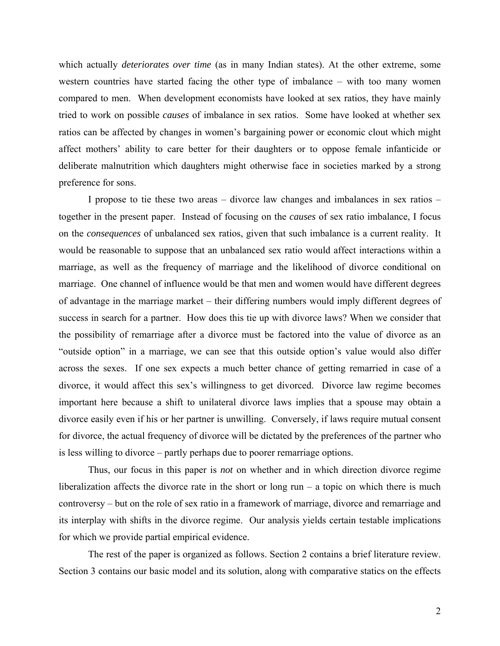which actually *deteriorates over time* (as in many Indian states). At the other extreme, some western countries have started facing the other type of imbalance – with too many women compared to men. When development economists have looked at sex ratios, they have mainly tried to work on possible *causes* of imbalance in sex ratios. Some have looked at whether sex ratios can be affected by changes in women's bargaining power or economic clout which might affect mothers' ability to care better for their daughters or to oppose female infanticide or deliberate malnutrition which daughters might otherwise face in societies marked by a strong preference for sons.

 I propose to tie these two areas – divorce law changes and imbalances in sex ratios – together in the present paper. Instead of focusing on the *causes* of sex ratio imbalance, I focus on the *consequences* of unbalanced sex ratios, given that such imbalance is a current reality. It would be reasonable to suppose that an unbalanced sex ratio would affect interactions within a marriage, as well as the frequency of marriage and the likelihood of divorce conditional on marriage. One channel of influence would be that men and women would have different degrees of advantage in the marriage market – their differing numbers would imply different degrees of success in search for a partner. How does this tie up with divorce laws? When we consider that the possibility of remarriage after a divorce must be factored into the value of divorce as an "outside option" in a marriage, we can see that this outside option's value would also differ across the sexes. If one sex expects a much better chance of getting remarried in case of a divorce, it would affect this sex's willingness to get divorced. Divorce law regime becomes important here because a shift to unilateral divorce laws implies that a spouse may obtain a divorce easily even if his or her partner is unwilling. Conversely, if laws require mutual consent for divorce, the actual frequency of divorce will be dictated by the preferences of the partner who is less willing to divorce – partly perhaps due to poorer remarriage options.

 Thus, our focus in this paper is *not* on whether and in which direction divorce regime liberalization affects the divorce rate in the short or long run – a topic on which there is much controversy – but on the role of sex ratio in a framework of marriage, divorce and remarriage and its interplay with shifts in the divorce regime. Our analysis yields certain testable implications for which we provide partial empirical evidence.

 The rest of the paper is organized as follows. Section 2 contains a brief literature review. Section 3 contains our basic model and its solution, along with comparative statics on the effects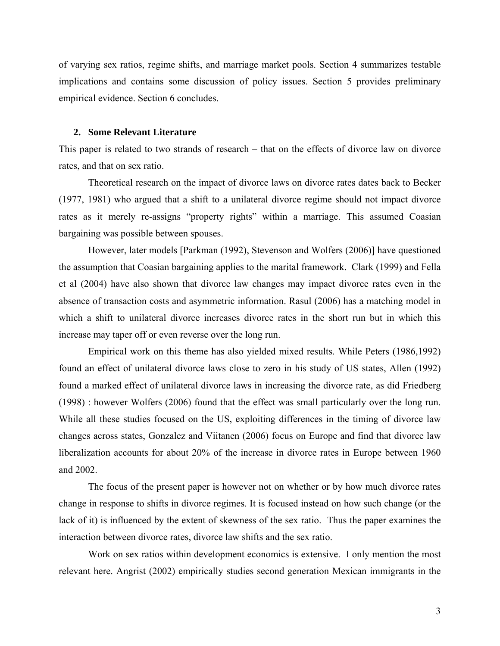of varying sex ratios, regime shifts, and marriage market pools. Section 4 summarizes testable implications and contains some discussion of policy issues. Section 5 provides preliminary empirical evidence. Section 6 concludes.

#### **2. Some Relevant Literature**

This paper is related to two strands of research – that on the effects of divorce law on divorce rates, and that on sex ratio.

 Theoretical research on the impact of divorce laws on divorce rates dates back to Becker (1977, 1981) who argued that a shift to a unilateral divorce regime should not impact divorce rates as it merely re-assigns "property rights" within a marriage. This assumed Coasian bargaining was possible between spouses.

 However, later models [Parkman (1992), Stevenson and Wolfers (2006)] have questioned the assumption that Coasian bargaining applies to the marital framework. Clark (1999) and Fella et al (2004) have also shown that divorce law changes may impact divorce rates even in the absence of transaction costs and asymmetric information. Rasul (2006) has a matching model in which a shift to unilateral divorce increases divorce rates in the short run but in which this increase may taper off or even reverse over the long run.

 Empirical work on this theme has also yielded mixed results. While Peters (1986,1992) found an effect of unilateral divorce laws close to zero in his study of US states, Allen (1992) found a marked effect of unilateral divorce laws in increasing the divorce rate, as did Friedberg (1998) : however Wolfers (2006) found that the effect was small particularly over the long run. While all these studies focused on the US, exploiting differences in the timing of divorce law changes across states, Gonzalez and Viitanen (2006) focus on Europe and find that divorce law liberalization accounts for about 20% of the increase in divorce rates in Europe between 1960 and 2002.

 The focus of the present paper is however not on whether or by how much divorce rates change in response to shifts in divorce regimes. It is focused instead on how such change (or the lack of it) is influenced by the extent of skewness of the sex ratio. Thus the paper examines the interaction between divorce rates, divorce law shifts and the sex ratio.

 Work on sex ratios within development economics is extensive. I only mention the most relevant here. Angrist (2002) empirically studies second generation Mexican immigrants in the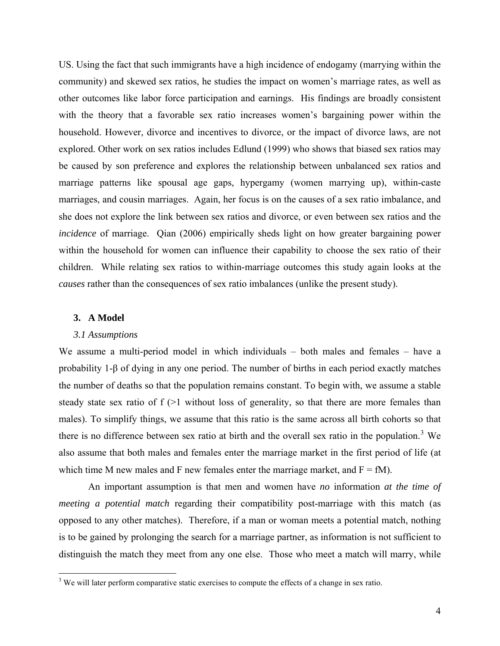US. Using the fact that such immigrants have a high incidence of endogamy (marrying within the community) and skewed sex ratios, he studies the impact on women's marriage rates, as well as other outcomes like labor force participation and earnings. His findings are broadly consistent with the theory that a favorable sex ratio increases women's bargaining power within the household. However, divorce and incentives to divorce, or the impact of divorce laws, are not explored. Other work on sex ratios includes Edlund (1999) who shows that biased sex ratios may be caused by son preference and explores the relationship between unbalanced sex ratios and marriage patterns like spousal age gaps, hypergamy (women marrying up), within-caste marriages, and cousin marriages. Again, her focus is on the causes of a sex ratio imbalance, and she does not explore the link between sex ratios and divorce, or even between sex ratios and the *incidence* of marriage. Qian (2006) empirically sheds light on how greater bargaining power within the household for women can influence their capability to choose the sex ratio of their children. While relating sex ratios to within-marriage outcomes this study again looks at the *causes* rather than the consequences of sex ratio imbalances (unlike the present study).

## **3. A Model**

#### *3.1 Assumptions*

We assume a multi-period model in which individuals – both males and females – have a probability 1-β of dying in any one period. The number of births in each period exactly matches the number of deaths so that the population remains constant. To begin with, we assume a stable steady state sex ratio of f (>1 without loss of generality, so that there are more females than males). To simplify things, we assume that this ratio is the same across all birth cohorts so that there is no difference between sex ratio at birth and the overall sex ratio in the population.<sup>[3](#page-3-0)</sup> We also assume that both males and females enter the marriage market in the first period of life (at which time M new males and F new females enter the marriage market, and  $F = fM$ ).

 An important assumption is that men and women have *no* information *at the time of meeting a potential match* regarding their compatibility post-marriage with this match (as opposed to any other matches). Therefore, if a man or woman meets a potential match, nothing is to be gained by prolonging the search for a marriage partner, as information is not sufficient to distinguish the match they meet from any one else. Those who meet a match will marry, while

<span id="page-3-0"></span><sup>&</sup>lt;sup>3</sup> We will later perform comparative static exercises to compute the effects of a change in sex ratio.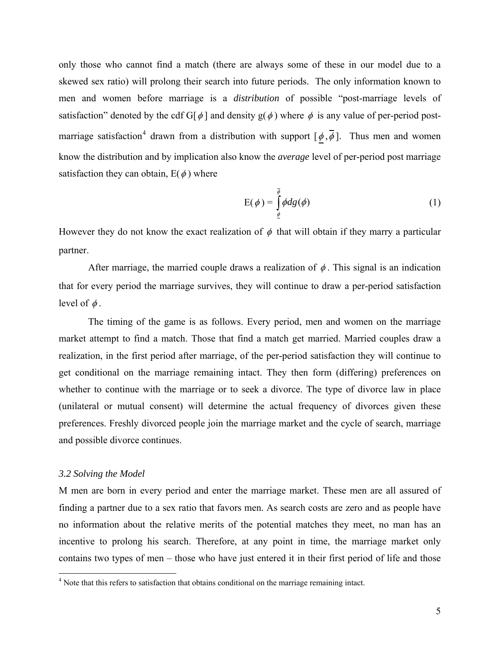only those who cannot find a match (there are always some of these in our model due to a skewed sex ratio) will prolong their search into future periods. The only information known to men and women before marriage is a *distribution* of possible "post-marriage levels of satisfaction" denoted by the cdf G[ $\phi$ ] and density g( $\phi$ ) where  $\phi$  is any value of per-period post-marriage satisfaction<sup>[4](#page-4-0)</sup> drawn from a distribution with support  $[\phi,\overline{\phi}]$ . Thus men and women know the distribution and by implication also know the *average* level of per-period post marriage satisfaction they can obtain,  $E(\phi)$  where

$$
E(\phi) = \int_{\phi}^{\overline{\phi}} \phi dg(\phi)
$$
 (1)

However they do not know the exact realization of  $\phi$  that will obtain if they marry a particular partner.

After marriage, the married couple draws a realization of  $\phi$ . This signal is an indication that for every period the marriage survives, they will continue to draw a per-period satisfaction level of  $\phi$ .

 The timing of the game is as follows. Every period, men and women on the marriage market attempt to find a match. Those that find a match get married. Married couples draw a realization, in the first period after marriage, of the per-period satisfaction they will continue to get conditional on the marriage remaining intact. They then form (differing) preferences on whether to continue with the marriage or to seek a divorce. The type of divorce law in place (unilateral or mutual consent) will determine the actual frequency of divorces given these preferences. Freshly divorced people join the marriage market and the cycle of search, marriage and possible divorce continues.

#### *3.2 Solving the Model*

 $\overline{a}$ 

M men are born in every period and enter the marriage market. These men are all assured of finding a partner due to a sex ratio that favors men. As search costs are zero and as people have no information about the relative merits of the potential matches they meet, no man has an incentive to prolong his search. Therefore, at any point in time, the marriage market only contains two types of men – those who have just entered it in their first period of life and those

<span id="page-4-0"></span><sup>&</sup>lt;sup>4</sup> Note that this refers to satisfaction that obtains conditional on the marriage remaining intact.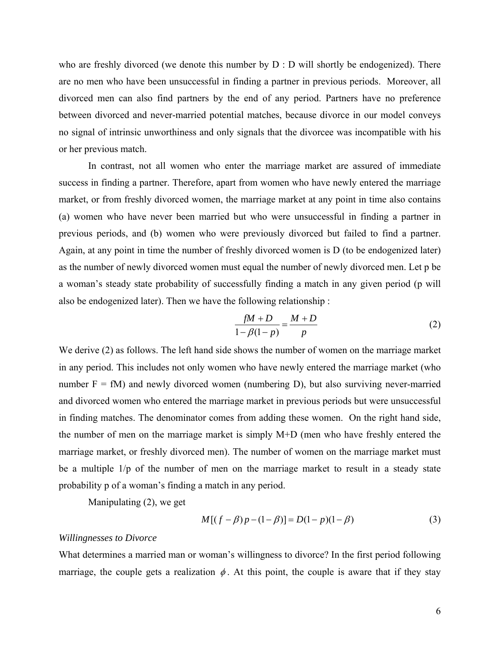who are freshly divorced (we denote this number by D : D will shortly be endogenized). There are no men who have been unsuccessful in finding a partner in previous periods. Moreover, all divorced men can also find partners by the end of any period. Partners have no preference between divorced and never-married potential matches, because divorce in our model conveys no signal of intrinsic unworthiness and only signals that the divorcee was incompatible with his or her previous match.

 In contrast, not all women who enter the marriage market are assured of immediate success in finding a partner. Therefore, apart from women who have newly entered the marriage market, or from freshly divorced women, the marriage market at any point in time also contains (a) women who have never been married but who were unsuccessful in finding a partner in previous periods, and (b) women who were previously divorced but failed to find a partner. Again, at any point in time the number of freshly divorced women is D (to be endogenized later) as the number of newly divorced women must equal the number of newly divorced men. Let p be a woman's steady state probability of successfully finding a match in any given period (p will also be endogenized later). Then we have the following relationship :

$$
\frac{fM + D}{1 - \beta(1 - p)} = \frac{M + D}{p} \tag{2}
$$

We derive (2) as follows. The left hand side shows the number of women on the marriage market in any period. This includes not only women who have newly entered the marriage market (who number  $F = fM$ ) and newly divorced women (numbering D), but also surviving never-married and divorced women who entered the marriage market in previous periods but were unsuccessful in finding matches. The denominator comes from adding these women. On the right hand side, the number of men on the marriage market is simply M+D (men who have freshly entered the marriage market, or freshly divorced men). The number of women on the marriage market must be a multiple 1/p of the number of men on the marriage market to result in a steady state probability p of a woman's finding a match in any period.

Manipulating (2), we get

$$
M[(f - \beta)p - (1 - \beta)] = D(1 - p)(1 - \beta)
$$
\n(3)

### *Willingnesses to Divorce*

What determines a married man or woman's willingness to divorce? In the first period following marriage, the couple gets a realization  $\phi$ . At this point, the couple is aware that if they stay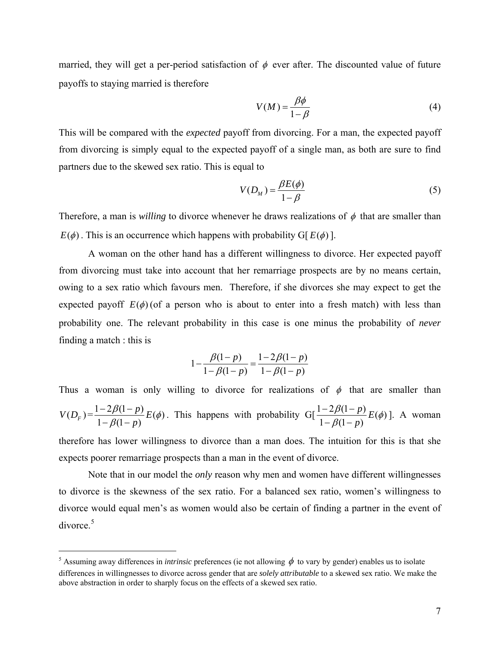married, they will get a per-period satisfaction of  $\phi$  ever after. The discounted value of future payoffs to staying married is therefore

$$
V(M) = \frac{\beta \phi}{1 - \beta} \tag{4}
$$

This will be compared with the *expected* payoff from divorcing. For a man, the expected payoff from divorcing is simply equal to the expected payoff of a single man, as both are sure to find partners due to the skewed sex ratio. This is equal to

$$
V(D_M) = \frac{\beta E(\phi)}{1 - \beta} \tag{5}
$$

Therefore, a man is *willing* to divorce whenever he draws realizations of  $\phi$  that are smaller than  $E(\phi)$ . This is an occurrence which happens with probability G[ $E(\phi)$ ].

 A woman on the other hand has a different willingness to divorce. Her expected payoff from divorcing must take into account that her remarriage prospects are by no means certain, owing to a sex ratio which favours men. Therefore, if she divorces she may expect to get the expected payoff  $E(\phi)$  (of a person who is about to enter into a fresh match) with less than probability one. The relevant probability in this case is one minus the probability of *never* finding a match : this is

$$
1 - \frac{\beta(1-p)}{1-\beta(1-p)} = \frac{1-2\beta(1-p)}{1-\beta(1-p)}
$$

Thus a woman is only willing to divorce for realizations of  $\phi$  that are smaller than  $V(D_F) = \frac{1 - 2\beta(1 - p)}{1 - \beta(1 - p)} E(\phi)$  $\frac{-2\beta(1-p)}{-\beta(1-p)}E(\phi)$ . This happens with probability G[ $\frac{1-2\beta(1-p)}{1-\beta(1-p)}E(\phi)$  $\frac{-2\beta(1-p)}{-\beta(1-p)}E(\phi)$ ]. A woman therefore has lower willingness to divorce than a man does. The intuition for this is that she

expects poorer remarriage prospects than a man in the event of divorce.

 Note that in our model the *only* reason why men and women have different willingnesses to divorce is the skewness of the sex ratio. For a balanced sex ratio, women's willingness to divorce would equal men's as women would also be certain of finding a partner in the event of  $divorce.<sup>5</sup>$  $divorce.<sup>5</sup>$  $divorce.<sup>5</sup>$ 

 $\overline{a}$ 

<span id="page-6-0"></span><sup>&</sup>lt;sup>5</sup> Assuming away differences in *intrinsic* preferences (ie not allowing  $\phi$  to vary by gender) enables us to isolate differences in willingnesses to divorce across gender that are *solely attributable* to a skewed sex ratio. We make the above abstraction in order to sharply focus on the effects of a skewed sex ratio.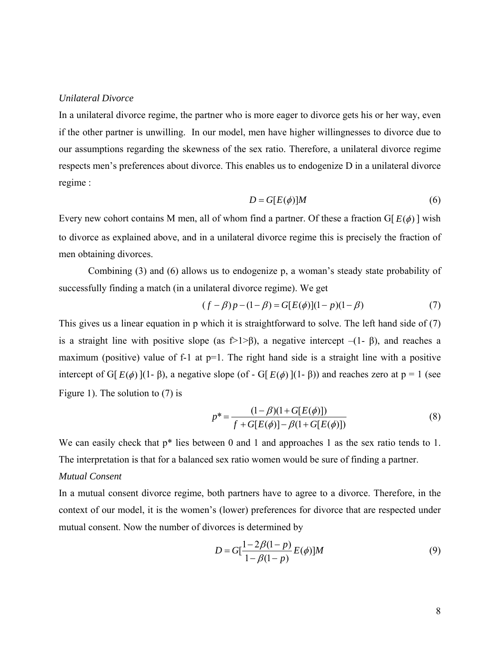## *Unilateral Divorce*

In a unilateral divorce regime, the partner who is more eager to divorce gets his or her way, even if the other partner is unwilling. In our model, men have higher willingnesses to divorce due to our assumptions regarding the skewness of the sex ratio. Therefore, a unilateral divorce regime respects men's preferences about divorce. This enables us to endogenize D in a unilateral divorce regime :

$$
D = G[E(\phi)]M
$$
 (6)

Every new cohort contains M men, all of whom find a partner. Of these a fraction G[ $E(\phi)$ ] wish to divorce as explained above, and in a unilateral divorce regime this is precisely the fraction of men obtaining divorces.

 Combining (3) and (6) allows us to endogenize p, a woman's steady state probability of successfully finding a match (in a unilateral divorce regime). We get

$$
(f - \beta)p - (1 - \beta) = G[E(\phi)](1 - p)(1 - \beta)
$$
\n(7)

This gives us a linear equation in p which it is straightforward to solve. The left hand side of (7) is a straight line with positive slope (as  $f>1$ >β), a negative intercept –(1- β), and reaches a maximum (positive) value of f-1 at  $p=1$ . The right hand side is a straight line with a positive intercept of G[ $E(\phi)$ ](1- $\beta$ ), a negative slope (of - G[ $E(\phi)$ ](1- $\beta$ )) and reaches zero at p = 1 (see Figure 1). The solution to (7) is

$$
p^* = \frac{(1 - \beta)(1 + G[E(\phi)])}{f + G[E(\phi)] - \beta(1 + G[E(\phi)])}
$$
(8)

We can easily check that  $p^*$  lies between 0 and 1 and approaches 1 as the sex ratio tends to 1. The interpretation is that for a balanced sex ratio women would be sure of finding a partner.

# *Mutual Consent*

In a mutual consent divorce regime, both partners have to agree to a divorce. Therefore, in the context of our model, it is the women's (lower) preferences for divorce that are respected under mutual consent. Now the number of divorces is determined by

$$
D = G[\frac{1 - 2\beta(1 - p)}{1 - \beta(1 - p)} E(\phi)]M
$$
\n(9)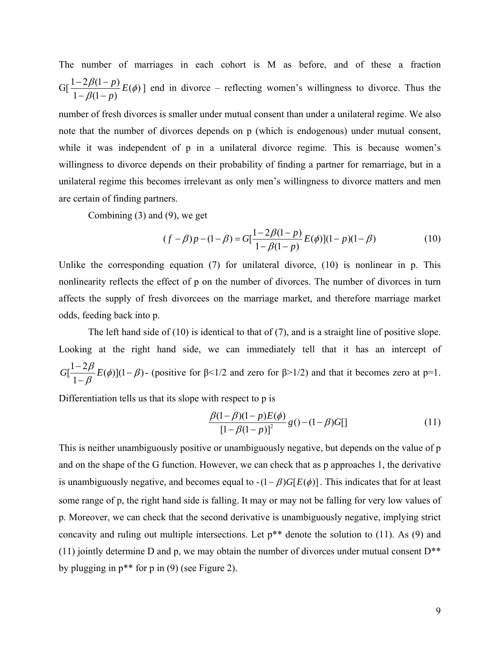The number of marriages in each cohort is M as before, and of these a fraction G[ $\frac{1-2\beta(1-p)}{1-\beta(1-p)}E(\phi)$  $\frac{-2\beta(1-p)}{-\beta(1-p)}E(\phi)$  end in divorce – reflecting women's willingness to divorce. Thus the

number of fresh divorces is smaller under mutual consent than under a unilateral regime. We also note that the number of divorces depends on p (which is endogenous) under mutual consent, while it was independent of p in a unilateral divorce regime. This is because women's willingness to divorce depends on their probability of finding a partner for remarriage, but in a unilateral regime this becomes irrelevant as only men's willingness to divorce matters and men are certain of finding partners.

Combining (3) and (9), we get

$$
(f - \beta)p - (1 - \beta) = G[\frac{1 - 2\beta(1 - p)}{1 - \beta(1 - p)}E(\phi)](1 - p)(1 - \beta)
$$
\n(10)

Unlike the corresponding equation (7) for unilateral divorce, (10) is nonlinear in p. This nonlinearity reflects the effect of p on the number of divorces. The number of divorces in turn affects the supply of fresh divorcees on the marriage market, and therefore marriage market odds, feeding back into p.

 The left hand side of (10) is identical to that of (7), and is a straight line of positive slope. Looking at the right hand side, we can immediately tell that it has an intercept of  $\left[\frac{1-2\beta}{1-\beta}E(\phi)\right](1$  $G\left[\frac{1-2\beta}{1-\beta}E(\phi)\right](1-\beta)$ - (positive for  $\beta$ <1/2 and zero for  $\beta$ >1/2) and that it becomes zero at p=1.

Differentiation tells us that its slope with respect to p is

$$
\frac{\beta(1-\beta)(1-p)E(\phi)}{[1-\beta(1-p)]^2}g(1-(1-\beta)G[]
$$
\n(11)

This is neither unambiguously positive or unambiguously negative, but depends on the value of p and on the shape of the G function. However, we can check that as p approaches 1, the derivative is unambiguously negative, and becomes equal to  $-(1 - \beta) G[E(\phi)]$ . This indicates that for at least some range of p, the right hand side is falling. It may or may not be falling for very low values of p. Moreover, we can check that the second derivative is unambiguously negative, implying strict concavity and ruling out multiple intersections. Let p\*\* denote the solution to (11). As (9) and (11) jointly determine D and p, we may obtain the number of divorces under mutual consent  $D^{**}$ by plugging in p\*\* for p in (9) (see Figure 2).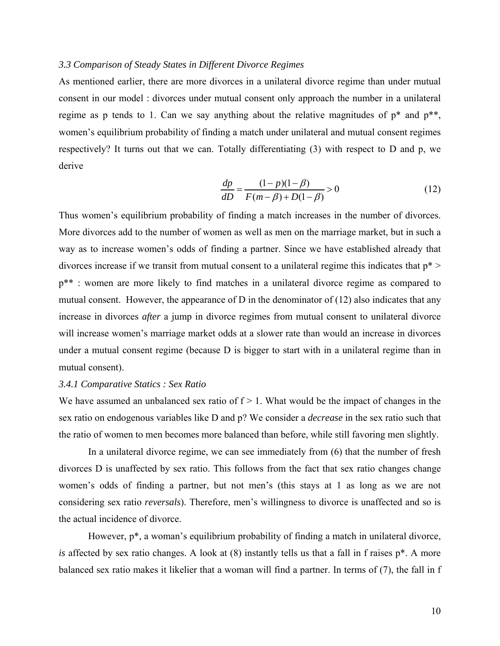## *3.3 Comparison of Steady States in Different Divorce Regimes*

As mentioned earlier, there are more divorces in a unilateral divorce regime than under mutual consent in our model : divorces under mutual consent only approach the number in a unilateral regime as p tends to 1. Can we say anything about the relative magnitudes of  $p^*$  and  $p^{**}$ , women's equilibrium probability of finding a match under unilateral and mutual consent regimes respectively? It turns out that we can. Totally differentiating (3) with respect to D and p, we derive

$$
\frac{dp}{dD} = \frac{(1-p)(1-\beta)}{F(m-\beta) + D(1-\beta)} > 0
$$
\n(12)

Thus women's equilibrium probability of finding a match increases in the number of divorces. More divorces add to the number of women as well as men on the marriage market, but in such a way as to increase women's odds of finding a partner. Since we have established already that divorces increase if we transit from mutual consent to a unilateral regime this indicates that  $p^*$  >  $p^{**}$ : women are more likely to find matches in a unilateral divorce regime as compared to mutual consent. However, the appearance of D in the denominator of (12) also indicates that any increase in divorces *after* a jump in divorce regimes from mutual consent to unilateral divorce will increase women's marriage market odds at a slower rate than would an increase in divorces under a mutual consent regime (because D is bigger to start with in a unilateral regime than in mutual consent).

# *3.4.1 Comparative Statics : Sex Ratio*

We have assumed an unbalanced sex ratio of  $f > 1$ . What would be the impact of changes in the sex ratio on endogenous variables like D and p? We consider a *decrease* in the sex ratio such that the ratio of women to men becomes more balanced than before, while still favoring men slightly.

 In a unilateral divorce regime, we can see immediately from (6) that the number of fresh divorces D is unaffected by sex ratio. This follows from the fact that sex ratio changes change women's odds of finding a partner, but not men's (this stays at 1 as long as we are not considering sex ratio *reversals*). Therefore, men's willingness to divorce is unaffected and so is the actual incidence of divorce.

 However, p\*, a woman's equilibrium probability of finding a match in unilateral divorce, *is* affected by sex ratio changes. A look at (8) instantly tells us that a fall in f raises p\*. A more balanced sex ratio makes it likelier that a woman will find a partner. In terms of (7), the fall in f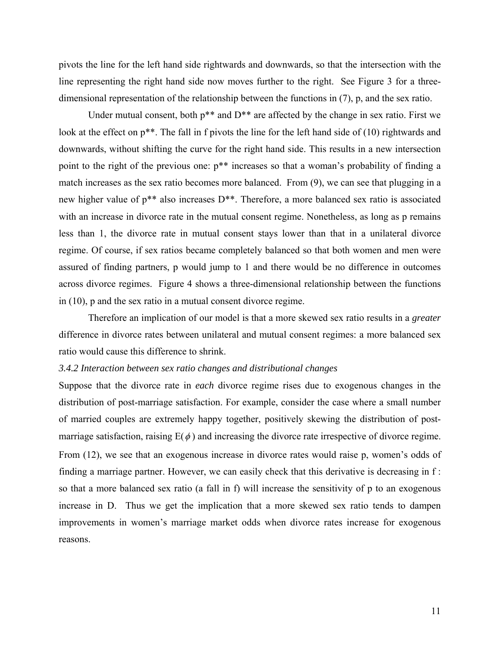pivots the line for the left hand side rightwards and downwards, so that the intersection with the line representing the right hand side now moves further to the right. See Figure 3 for a threedimensional representation of the relationship between the functions in (7), p, and the sex ratio.

Under mutual consent, both  $p^{**}$  and  $D^{**}$  are affected by the change in sex ratio. First we look at the effect on  $p^{**}$ . The fall in f pivots the line for the left hand side of (10) rightwards and downwards, without shifting the curve for the right hand side. This results in a new intersection point to the right of the previous one: p\*\* increases so that a woman's probability of finding a match increases as the sex ratio becomes more balanced. From (9), we can see that plugging in a new higher value of p\*\* also increases D\*\*. Therefore, a more balanced sex ratio is associated with an increase in divorce rate in the mutual consent regime. Nonetheless, as long as p remains less than 1, the divorce rate in mutual consent stays lower than that in a unilateral divorce regime. Of course, if sex ratios became completely balanced so that both women and men were assured of finding partners, p would jump to 1 and there would be no difference in outcomes across divorce regimes. Figure 4 shows a three-dimensional relationship between the functions in (10), p and the sex ratio in a mutual consent divorce regime.

 Therefore an implication of our model is that a more skewed sex ratio results in a *greater* difference in divorce rates between unilateral and mutual consent regimes: a more balanced sex ratio would cause this difference to shrink.

## *3.4.2 Interaction between sex ratio changes and distributional changes*

Suppose that the divorce rate in *each* divorce regime rises due to exogenous changes in the distribution of post-marriage satisfaction. For example, consider the case where a small number of married couples are extremely happy together, positively skewing the distribution of postmarriage satisfaction, raising  $E(\phi)$  and increasing the divorce rate irrespective of divorce regime. From (12), we see that an exogenous increase in divorce rates would raise p, women's odds of finding a marriage partner. However, we can easily check that this derivative is decreasing in f : so that a more balanced sex ratio (a fall in f) will increase the sensitivity of p to an exogenous increase in D. Thus we get the implication that a more skewed sex ratio tends to dampen improvements in women's marriage market odds when divorce rates increase for exogenous reasons.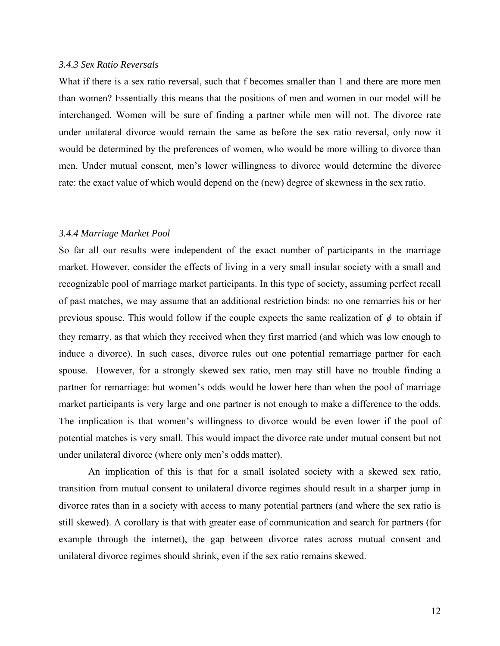### *3.4.3 Sex Ratio Reversals*

What if there is a sex ratio reversal, such that f becomes smaller than 1 and there are more men than women? Essentially this means that the positions of men and women in our model will be interchanged. Women will be sure of finding a partner while men will not. The divorce rate under unilateral divorce would remain the same as before the sex ratio reversal, only now it would be determined by the preferences of women, who would be more willing to divorce than men. Under mutual consent, men's lower willingness to divorce would determine the divorce rate: the exact value of which would depend on the (new) degree of skewness in the sex ratio.

# *3.4.4 Marriage Market Pool*

So far all our results were independent of the exact number of participants in the marriage market. However, consider the effects of living in a very small insular society with a small and recognizable pool of marriage market participants. In this type of society, assuming perfect recall of past matches, we may assume that an additional restriction binds: no one remarries his or her previous spouse. This would follow if the couple expects the same realization of  $\phi$  to obtain if they remarry, as that which they received when they first married (and which was low enough to induce a divorce). In such cases, divorce rules out one potential remarriage partner for each spouse. However, for a strongly skewed sex ratio, men may still have no trouble finding a partner for remarriage: but women's odds would be lower here than when the pool of marriage market participants is very large and one partner is not enough to make a difference to the odds. The implication is that women's willingness to divorce would be even lower if the pool of potential matches is very small. This would impact the divorce rate under mutual consent but not under unilateral divorce (where only men's odds matter).

 An implication of this is that for a small isolated society with a skewed sex ratio, transition from mutual consent to unilateral divorce regimes should result in a sharper jump in divorce rates than in a society with access to many potential partners (and where the sex ratio is still skewed). A corollary is that with greater ease of communication and search for partners (for example through the internet), the gap between divorce rates across mutual consent and unilateral divorce regimes should shrink, even if the sex ratio remains skewed.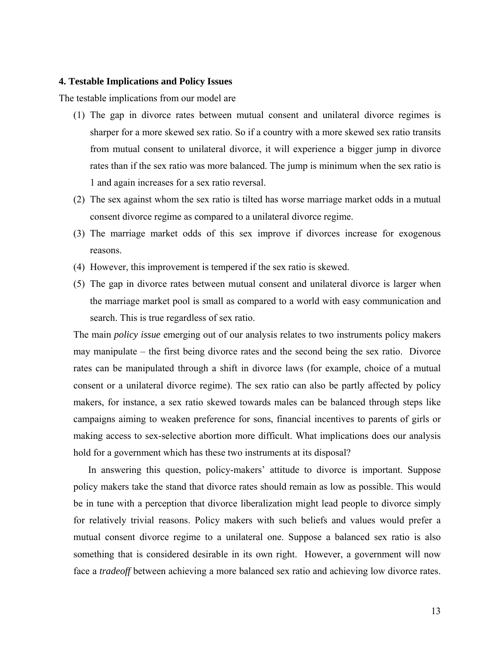#### **4. Testable Implications and Policy Issues**

The testable implications from our model are

- (1) The gap in divorce rates between mutual consent and unilateral divorce regimes is sharper for a more skewed sex ratio. So if a country with a more skewed sex ratio transits from mutual consent to unilateral divorce, it will experience a bigger jump in divorce rates than if the sex ratio was more balanced. The jump is minimum when the sex ratio is 1 and again increases for a sex ratio reversal.
- (2) The sex against whom the sex ratio is tilted has worse marriage market odds in a mutual consent divorce regime as compared to a unilateral divorce regime.
- (3) The marriage market odds of this sex improve if divorces increase for exogenous reasons.
- (4) However, this improvement is tempered if the sex ratio is skewed.
- (5) The gap in divorce rates between mutual consent and unilateral divorce is larger when the marriage market pool is small as compared to a world with easy communication and search. This is true regardless of sex ratio.

The main *policy issue* emerging out of our analysis relates to two instruments policy makers may manipulate – the first being divorce rates and the second being the sex ratio. Divorce rates can be manipulated through a shift in divorce laws (for example, choice of a mutual consent or a unilateral divorce regime). The sex ratio can also be partly affected by policy makers, for instance, a sex ratio skewed towards males can be balanced through steps like campaigns aiming to weaken preference for sons, financial incentives to parents of girls or making access to sex-selective abortion more difficult. What implications does our analysis hold for a government which has these two instruments at its disposal?

 In answering this question, policy-makers' attitude to divorce is important. Suppose policy makers take the stand that divorce rates should remain as low as possible. This would be in tune with a perception that divorce liberalization might lead people to divorce simply for relatively trivial reasons. Policy makers with such beliefs and values would prefer a mutual consent divorce regime to a unilateral one. Suppose a balanced sex ratio is also something that is considered desirable in its own right. However, a government will now face a *tradeoff* between achieving a more balanced sex ratio and achieving low divorce rates.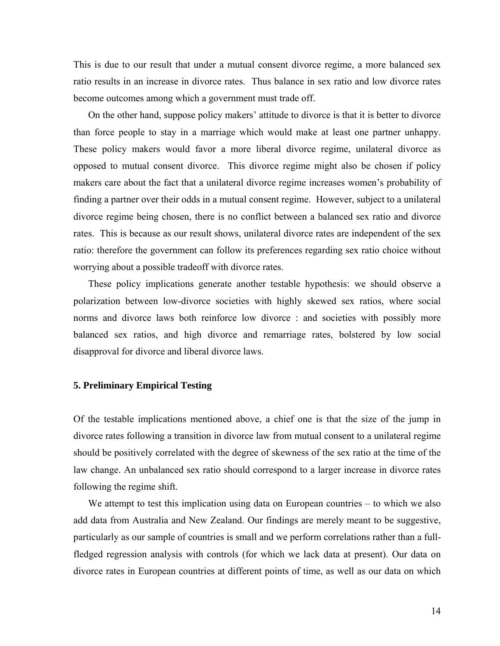This is due to our result that under a mutual consent divorce regime, a more balanced sex ratio results in an increase in divorce rates. Thus balance in sex ratio and low divorce rates become outcomes among which a government must trade off.

 On the other hand, suppose policy makers' attitude to divorce is that it is better to divorce than force people to stay in a marriage which would make at least one partner unhappy. These policy makers would favor a more liberal divorce regime, unilateral divorce as opposed to mutual consent divorce. This divorce regime might also be chosen if policy makers care about the fact that a unilateral divorce regime increases women's probability of finding a partner over their odds in a mutual consent regime. However, subject to a unilateral divorce regime being chosen, there is no conflict between a balanced sex ratio and divorce rates. This is because as our result shows, unilateral divorce rates are independent of the sex ratio: therefore the government can follow its preferences regarding sex ratio choice without worrying about a possible tradeoff with divorce rates.

 These policy implications generate another testable hypothesis: we should observe a polarization between low-divorce societies with highly skewed sex ratios, where social norms and divorce laws both reinforce low divorce : and societies with possibly more balanced sex ratios, and high divorce and remarriage rates, bolstered by low social disapproval for divorce and liberal divorce laws.

## **5. Preliminary Empirical Testing**

Of the testable implications mentioned above, a chief one is that the size of the jump in divorce rates following a transition in divorce law from mutual consent to a unilateral regime should be positively correlated with the degree of skewness of the sex ratio at the time of the law change. An unbalanced sex ratio should correspond to a larger increase in divorce rates following the regime shift.

We attempt to test this implication using data on European countries – to which we also add data from Australia and New Zealand. Our findings are merely meant to be suggestive, particularly as our sample of countries is small and we perform correlations rather than a fullfledged regression analysis with controls (for which we lack data at present). Our data on divorce rates in European countries at different points of time, as well as our data on which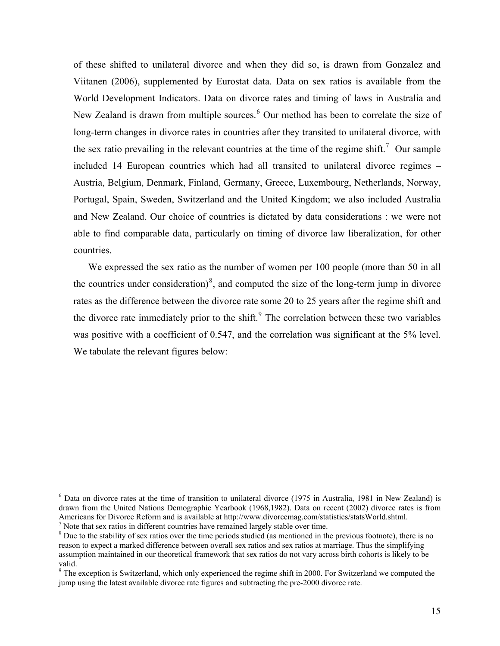of these shifted to unilateral divorce and when they did so, is drawn from Gonzalez and Viitanen (2006), supplemented by Eurostat data. Data on sex ratios is available from the World Development Indicators. Data on divorce rates and timing of laws in Australia and New Zealand is drawn from multiple sources.<sup>[6](#page-14-0)</sup> Our method has been to correlate the size of long-term changes in divorce rates in countries after they transited to unilateral divorce, with the sex ratio prevailing in the relevant countries at the time of the regime shift.<sup>[7](#page-14-1)</sup> Our sample included 14 European countries which had all transited to unilateral divorce regimes – Austria, Belgium, Denmark, Finland, Germany, Greece, Luxembourg, Netherlands, Norway, Portugal, Spain, Sweden, Switzerland and the United Kingdom; we also included Australia and New Zealand. Our choice of countries is dictated by data considerations : we were not able to find comparable data, particularly on timing of divorce law liberalization, for other countries.

We expressed the sex ratio as the number of women per 100 people (more than 50 in all the countries under consideration)<sup>[8](#page-14-2)</sup>, and computed the size of the long-term jump in divorce rates as the difference between the divorce rate some 20 to 25 years after the regime shift and the divorce rate immediately prior to the shift. $9$  The correlation between these two variables was positive with a coefficient of 0.547, and the correlation was significant at the 5% level. We tabulate the relevant figures below:

 $\overline{a}$ 

<span id="page-14-0"></span><sup>&</sup>lt;sup>6</sup> Data on divorce rates at the time of transition to unilateral divorce (1975 in Australia, 1981 in New Zealand) is drawn from the United Nations Demographic Yearbook (1968,1982). Data on recent (2002) divorce rates is from Americans for Divorce Reform and is available at http://www.divorcemag.com/statistics/statsWorld.shtml. 7  $\frac{1}{1}$  Note that sex ratios in different countries have remained largely stable over time.

<span id="page-14-2"></span><span id="page-14-1"></span> $8$  Due to the stability of sex ratios over the time periods studied (as mentioned in the previous footnote), there is no reason to expect a marked difference between overall sex ratios and sex ratios at marriage. Thus the simplifying assumption maintained in our theoretical framework that sex ratios do not vary across birth cohorts is likely to be valid.

<span id="page-14-3"></span> $9$ <sup>9</sup> The exception is Switzerland, which only experienced the regime shift in 2000. For Switzerland we computed the jump using the latest available divorce rate figures and subtracting the pre-2000 divorce rate.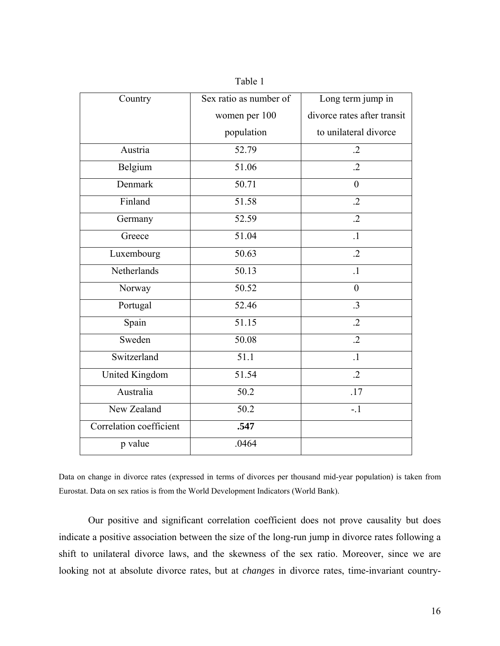| Country                 | Sex ratio as number of | Long term jump in           |
|-------------------------|------------------------|-----------------------------|
|                         | women per 100          | divorce rates after transit |
|                         | population             | to unilateral divorce       |
| Austria                 | 52.79                  | $\cdot$                     |
| Belgium                 | 51.06                  | $\cdot$                     |
| Denmark                 | 50.71                  | $\boldsymbol{0}$            |
| Finland                 | 51.58                  | $\cdot$                     |
| Germany                 | 52.59                  | $\cdot$                     |
| Greece                  | 51.04                  | $\overline{1}$              |
| Luxembourg              | 50.63                  | $\overline{.2}$             |
| Netherlands             | 50.13                  | $\cdot$ 1                   |
| Norway                  | $\overline{50.52}$     | $\overline{0}$              |
| Portugal                | 52.46                  | $\cdot$ 3                   |
| Spain                   | $\overline{51.15}$     | $\overline{.2}$             |
| Sweden                  | 50.08                  | $\cdot$                     |
| Switzerland             | 51.1                   | $\overline{1}$              |
| <b>United Kingdom</b>   | 51.54                  | $\cdot$                     |
| Australia               | 50.2                   | .17                         |
| New Zealand             | 50.2                   | $-1$                        |
| Correlation coefficient | .547                   |                             |
| p value                 | .0464                  |                             |

Table 1

Data on change in divorce rates (expressed in terms of divorces per thousand mid-year population) is taken from Eurostat. Data on sex ratios is from the World Development Indicators (World Bank).

 Our positive and significant correlation coefficient does not prove causality but does indicate a positive association between the size of the long-run jump in divorce rates following a shift to unilateral divorce laws, and the skewness of the sex ratio. Moreover, since we are looking not at absolute divorce rates, but at *changes* in divorce rates, time-invariant country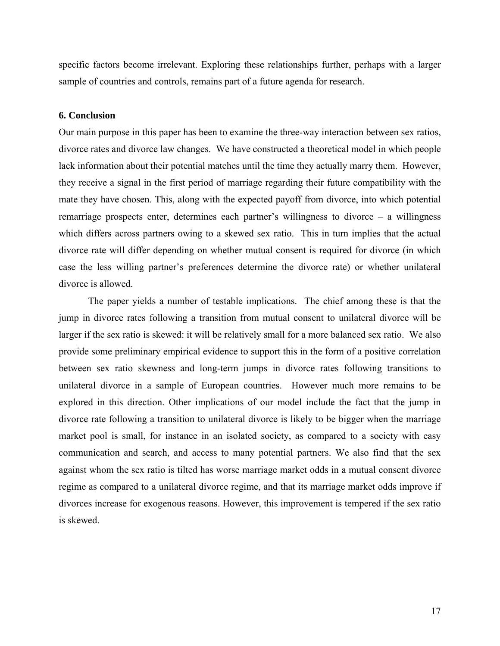specific factors become irrelevant. Exploring these relationships further, perhaps with a larger sample of countries and controls, remains part of a future agenda for research.

## **6. Conclusion**

Our main purpose in this paper has been to examine the three-way interaction between sex ratios, divorce rates and divorce law changes. We have constructed a theoretical model in which people lack information about their potential matches until the time they actually marry them. However, they receive a signal in the first period of marriage regarding their future compatibility with the mate they have chosen. This, along with the expected payoff from divorce, into which potential remarriage prospects enter, determines each partner's willingness to divorce – a willingness which differs across partners owing to a skewed sex ratio. This in turn implies that the actual divorce rate will differ depending on whether mutual consent is required for divorce (in which case the less willing partner's preferences determine the divorce rate) or whether unilateral divorce is allowed.

The paper yields a number of testable implications. The chief among these is that the jump in divorce rates following a transition from mutual consent to unilateral divorce will be larger if the sex ratio is skewed: it will be relatively small for a more balanced sex ratio. We also provide some preliminary empirical evidence to support this in the form of a positive correlation between sex ratio skewness and long-term jumps in divorce rates following transitions to unilateral divorce in a sample of European countries. However much more remains to be explored in this direction. Other implications of our model include the fact that the jump in divorce rate following a transition to unilateral divorce is likely to be bigger when the marriage market pool is small, for instance in an isolated society, as compared to a society with easy communication and search, and access to many potential partners. We also find that the sex against whom the sex ratio is tilted has worse marriage market odds in a mutual consent divorce regime as compared to a unilateral divorce regime, and that its marriage market odds improve if divorces increase for exogenous reasons. However, this improvement is tempered if the sex ratio is skewed.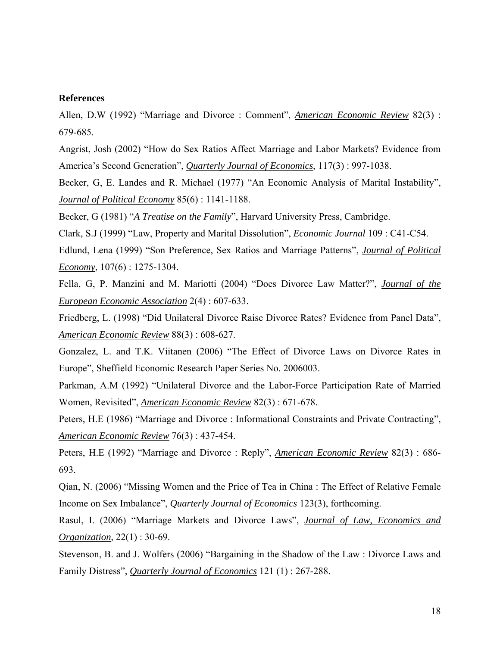# **References**

Allen, D.W (1992) "Marriage and Divorce : Comment", *American Economic Review* 82(3) : 679-685.

Angrist, Josh (2002) "How do Sex Ratios Affect Marriage and Labor Markets? Evidence from America's Second Generation", *Quarterly Journal of Economics*, 117(3) : 997-1038.

Becker, G, E. Landes and R. Michael (1977) "An Economic Analysis of Marital Instability", *Journal of Political Economy* 85(6) : 1141-1188.

Becker, G (1981) "*A Treatise on the Family*", Harvard University Press, Cambridge.

Clark, S.J (1999) "Law, Property and Marital Dissolution", *Economic Journal* 109 : C41-C54.

Edlund, Lena (1999) "Son Preference, Sex Ratios and Marriage Patterns", *Journal of Political Economy*, 107(6) : 1275-1304.

Fella, G, P. Manzini and M. Mariotti (2004) "Does Divorce Law Matter?", *Journal of the European Economic Association* 2(4) : 607-633.

Friedberg, L. (1998) "Did Unilateral Divorce Raise Divorce Rates? Evidence from Panel Data", *American Economic Review* 88(3) : 608-627.

Gonzalez, L. and T.K. Viitanen (2006) "The Effect of Divorce Laws on Divorce Rates in Europe", Sheffield Economic Research Paper Series No. 2006003.

Parkman, A.M (1992) "Unilateral Divorce and the Labor-Force Participation Rate of Married Women, Revisited", *American Economic Review* 82(3) : 671-678.

Peters, H.E (1986) "Marriage and Divorce : Informational Constraints and Private Contracting", *American Economic Review* 76(3) : 437-454.

Peters, H.E (1992) "Marriage and Divorce : Reply", *American Economic Review* 82(3) : 686- 693.

Qian, N. (2006) "Missing Women and the Price of Tea in China : The Effect of Relative Female Income on Sex Imbalance", *Quarterly Journal of Economics* 123(3), forthcoming.

Rasul, I. (2006) "Marriage Markets and Divorce Laws", *Journal of Law, Economics and Organization*, 22(1) : 30-69.

Stevenson, B. and J. Wolfers (2006) "Bargaining in the Shadow of the Law : Divorce Laws and Family Distress", *Quarterly Journal of Economics* 121 (1) : 267-288.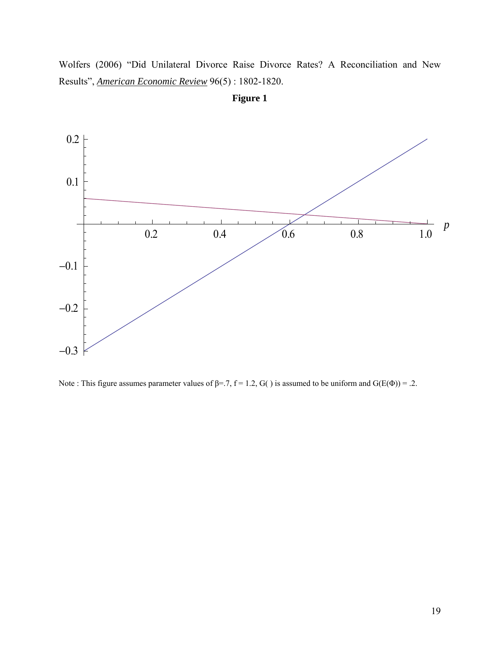Wolfers (2006) "Did Unilateral Divorce Raise Divorce Rates? A Reconciliation and New Results", *American Economic Review* 96(5) : 1802-1820.



**Figure 1**

Note : This figure assumes parameter values of  $\beta$ =.7, f = 1.2, G() is assumed to be uniform and G(E(Φ)) = .2.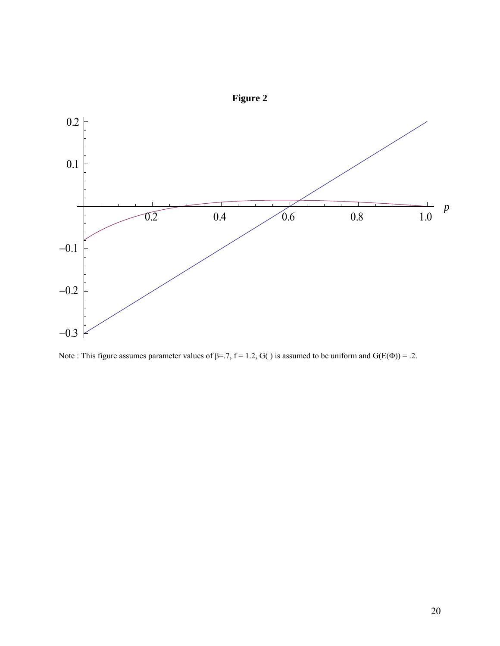

**Figure 2** 

Note : This figure assumes parameter values of  $\beta$ =.7, f = 1.2, G() is assumed to be uniform and G(E(Φ)) = .2.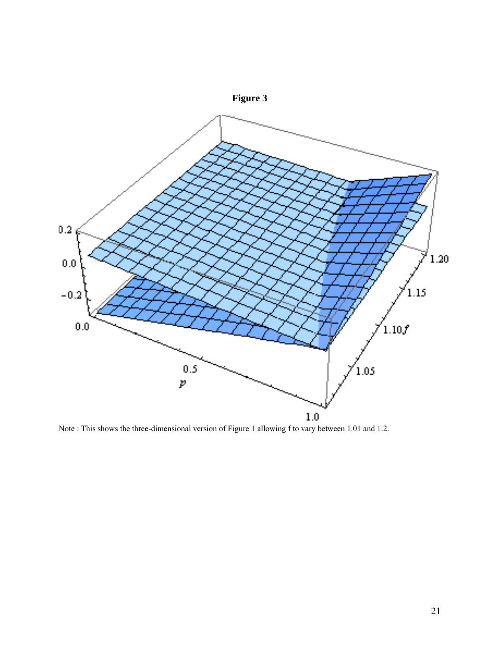

Note : This shows the three-dimensional version of Figure 1 allowing f to vary between 1.01 and 1.2.